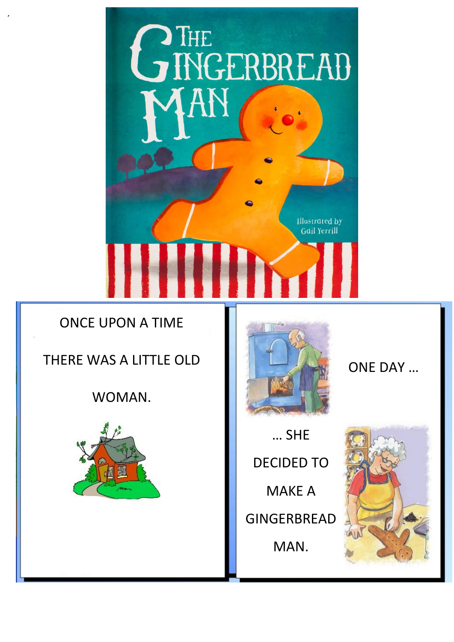

#### ONCE UPON A TIME

¸

THERE WAS A LITTLE OLD

WOMAN.





ONE DAY …

… SHE DECIDED TO MAKE A GINGERBREAD MAN.

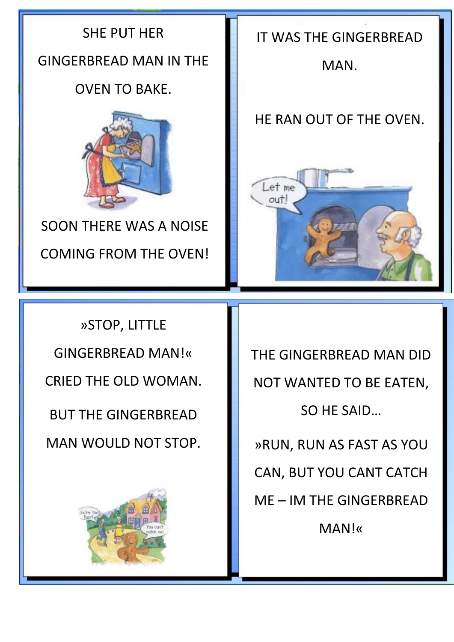#### SHE PUT HER

#### GINGERBREAD MAN IN THE

## OVEN TO BAKE.



SOON THERE WAS A NOISE COMING FROM THE OVEN!

#### IT WAS THE GINGERBREAD

MAN.

## HE RAN OUT OF THE OVEN.



»STOP, LITTLE GINGERBREAD MAN!« CRIED THE OLD WOMAN.

BUT THE GINGERBREAD MAN WOULD NOT STOP.



THE GINGERBREAD MAN DID NOT WANTED TO BE EATEN, SO HE SAID…

»RUN, RUN AS FAST AS YOU CAN, BUT YOU CANT CATCH ME – IM THE GINGERBREAD

MAN!«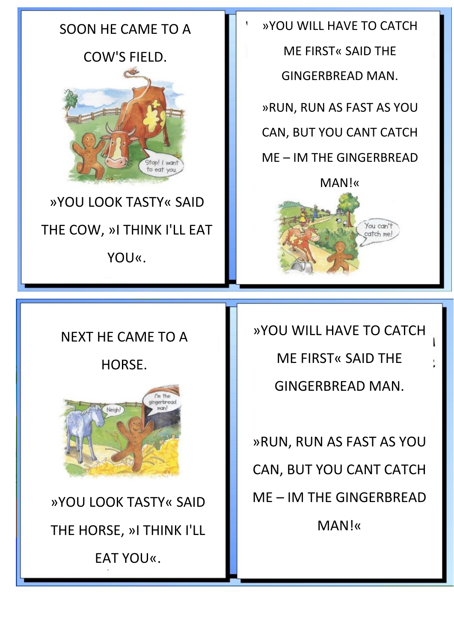

# »YOU LOOK TASTY« SAID THE COW, »I THINK I'LL EAT YOU«.

»YOU WILL HAVE TO CATCH

ME FIRST« SAID THE GINGERBREAD MAN.

»RUN, RUN AS FAST AS YOU CAN, BUT YOU CANT CATCH ME – IM THE GINGERBREAD

MAN!«



NEXT HE CAME TO A

HORSE.



»YOU LOOK TASTY« SAID THE HORSE, »I THINK I'LL EAT YOU«.

»YOU WILL HAVE TO CATCH ME FIRST« SAID THE GINGERBREAD MAN.

»RUN, RUN AS FAST AS YOU CAN, BUT YOU CANT CATCH ME – IM THE GINGERBREAD MAN!«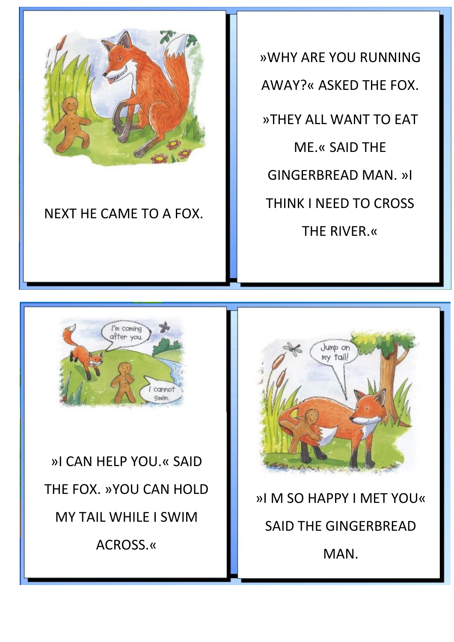

NEXT HE CAME TO A FOX.

»WHY ARE YOU RUNNING AWAY?« ASKED THE FOX. »THEY ALL WANT TO EAT ME.« SAID THE GINGERBREAD MAN. »I THINK I NEED TO CROSS THE RIVER.«



»I CAN HELP YOU.« SAID THE FOX. »YOU CAN HOLD MY TAIL WHILE I SWIM ACROSS.«



»I M SO HAPPY I MET YOU« SAID THE GINGERBREAD MAN.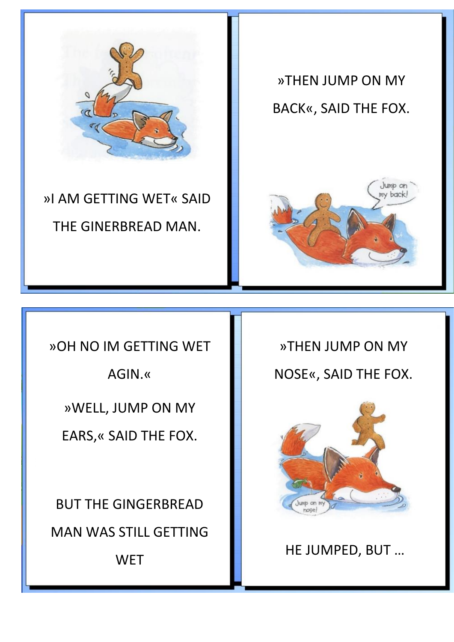

»I AM GETTING WET« SAID THE GINERBREAD MAN.

»THEN JUMP ON MY BACK«, SAID THE FOX.



»OH NO IM GETTING WET

AGIN.«

»WELL, JUMP ON MY

EARS,« SAID THE FOX.

BUT THE GINGERBREAD MAN WAS STILL GETTING

**WET** 

»THEN JUMP ON MY NOSE«, SAID THE FOX.



HE JUMPED, BUT …